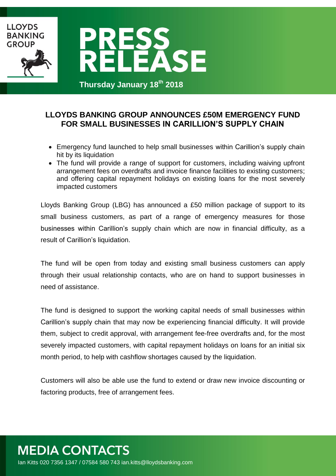

## **LLOYDS BANKING GROUP ANNOUNCES £50M EMERGENCY FUND FOR SMALL BUSINESSES IN CARILLION'S SUPPLY CHAIN**

- Emergency fund launched to help small businesses within Carillion's supply chain hit by its liquidation
- The fund will provide a range of support for customers, including waiving upfront arrangement fees on overdrafts and invoice finance facilities to existing customers; and offering capital repayment holidays on existing loans for the most severely impacted customers

Lloyds Banking Group (LBG) has announced a £50 million package of support to its small business customers, as part of a range of emergency measures for those businesses within Carillion's supply chain which are now in financial difficulty, as a result of Carillion's liquidation.

The fund will be open from today and existing small business customers can apply through their usual relationship contacts, who are on hand to support businesses in need of assistance.

The fund is designed to support the working capital needs of small businesses within Carillion's supply chain that may now be experiencing financial difficulty. It will provide them, subject to credit approval, with arrangement fee-free overdrafts and, for the most severely impacted customers, with capital repayment holidays on loans for an initial six month period, to help with cashflow shortages caused by the liquidation.

Customers will also be able use the fund to extend or draw new invoice discounting or factoring products, free of arrangement fees.

## **MEDIA CONTACTS** Ian Kitts 020 7356 1347 / 07584 580 743 ian.kitts@lloydsbanking.com